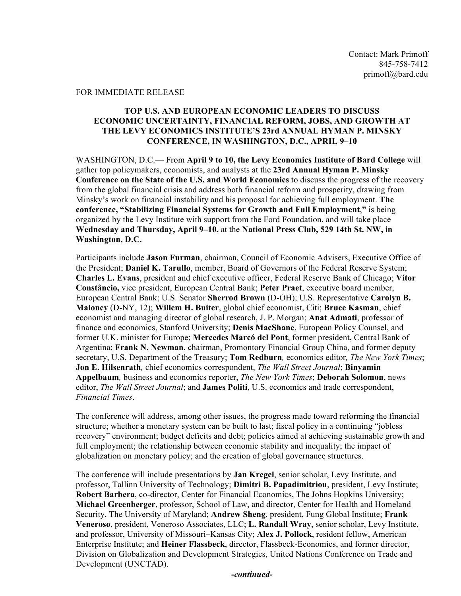## FOR IMMEDIATE RELEASE

## **TOP U.S. AND EUROPEAN ECONOMIC LEADERS TO DISCUSS ECONOMIC UNCERTAINTY, FINANCIAL REFORM, JOBS, AND GROWTH AT THE LEVY ECONOMICS INSTITUTE'S 23rd ANNUAL HYMAN P. MINSKY CONFERENCE, IN WASHINGTON, D.C., APRIL 9–10**

WASHINGTON, D.C.— From **April 9 to 10, the Levy Economics Institute of Bard College** will gather top policymakers, economists, and analysts at the **23rd Annual Hyman P. Minsky Conference on the State of the U.S. and World Economies** to discuss the progress of the recovery from the global financial crisis and address both financial reform and prosperity, drawing from Minsky's work on financial instability and his proposal for achieving full employment. **The conference, "Stabilizing Financial Systems for Growth and Full Employment**,**"** is being organized by the Levy Institute with support from the Ford Foundation, and will take place **Wednesday and Thursday, April 9–10,** at the **National Press Club, 529 14th St. NW, in Washington, D.C.** 

Participants include **Jason Furman**, chairman, Council of Economic Advisers, Executive Office of the President; **Daniel K. Tarullo**, member, Board of Governors of the Federal Reserve System; **Charles L. Evans**, president and chief executive officer, Federal Reserve Bank of Chicago; **Vítor Constâncio,** vice president, European Central Bank; **Peter Praet**, executive board member, European Central Bank; U.S. Senator **Sherrod Brown** (D-OH); U.S. Representative **Carolyn B. Maloney** (D-NY, 12); **Willem H. Buiter**, global chief economist, Citi; **Bruce Kasman**, chief economist and managing director of global research, J. P. Morgan; **Anat Admati**, professor of finance and economics, Stanford University; **Denis MacShane**, European Policy Counsel, and former U.K. minister for Europe; **Mercedes Marcó del Pont**, former president, Central Bank of Argentina; **Frank N. Newman**, chairman, Promontory Financial Group China, and former deputy secretary, U.S. Department of the Treasury; **Tom Redburn***,* economics editor*, The New York Times*; **Jon E. Hilsenrath***,* chief economics correspondent, *The Wall Street Journal*; **Binyamin Appelbaum***,* business and economics reporter, *The New York Times*; **Deborah Solomon**, news editor, *The Wall Street Journal*; and **James Politi**, U.S. economics and trade correspondent, *Financial Times*.

The conference will address, among other issues, the progress made toward reforming the financial structure; whether a monetary system can be built to last; fiscal policy in a continuing "jobless recovery" environment; budget deficits and debt; policies aimed at achieving sustainable growth and full employment; the relationship between economic stability and inequality; the impact of globalization on monetary policy; and the creation of global governance structures.

The conference will include presentations by **Jan Kregel**, senior scholar, Levy Institute, and professor, Tallinn University of Technology; **Dimitri B. Papadimitriou**, president, Levy Institute; **Robert Barbera**, co-director, Center for Financial Economics, The Johns Hopkins University; **Michael Greenberger**, professor, School of Law, and director, Center for Health and Homeland Security, The University of Maryland; **Andrew Sheng**, president, Fung Global Institute; **Frank Veneroso**, president, Veneroso Associates, LLC; **L. Randall Wray**, senior scholar, Levy Institute, and professor, University of Missouri–Kansas City; **Alex J. Pollock**, resident fellow, American Enterprise Institute; and **Heiner Flassbeck**, director, Flassbeck-Economics, and former director, Division on Globalization and Development Strategies, United Nations Conference on Trade and Development (UNCTAD).

*-continued-*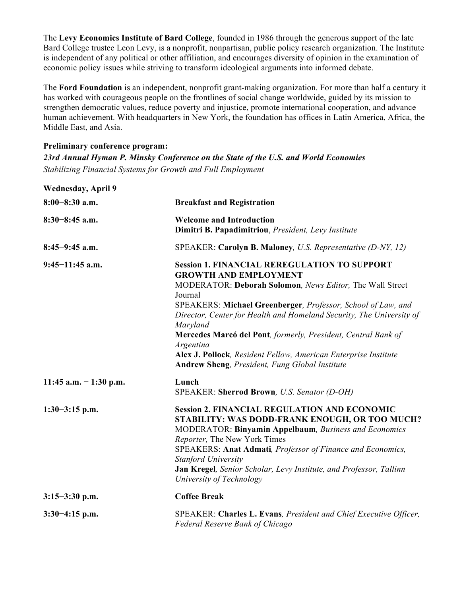The **Levy Economics Institute of Bard College**, founded in 1986 through the generous support of the late Bard College trustee Leon Levy, is a nonprofit, nonpartisan, public policy research organization. The Institute is independent of any political or other affiliation, and encourages diversity of opinion in the examination of economic policy issues while striving to transform ideological arguments into informed debate.

The **Ford Foundation** is an independent, nonprofit grant-making organization. For more than half a century it has worked with courageous people on the frontlines of social change worldwide, guided by its mission to strengthen democratic values, reduce poverty and injustice, promote international cooperation, and advance human achievement. With headquarters in New York, the foundation has offices in Latin America, Africa, the Middle East, and Asia.

## **Preliminary conference program:** *23rd Annual Hyman P. Minsky Conference on the State of the U.S. and World Economies Stabilizing Financial Systems for Growth and Full Employment*

| <b>Wednesday, April 9</b> |                                                                                                                                                                                                                                                                                                                                                                                                                                                                                                                   |
|---------------------------|-------------------------------------------------------------------------------------------------------------------------------------------------------------------------------------------------------------------------------------------------------------------------------------------------------------------------------------------------------------------------------------------------------------------------------------------------------------------------------------------------------------------|
| $8:00-8:30$ a.m.          | <b>Breakfast and Registration</b>                                                                                                                                                                                                                                                                                                                                                                                                                                                                                 |
| $8:30-8:45$ a.m.          | <b>Welcome and Introduction</b><br>Dimitri B. Papadimitriou, President, Levy Institute                                                                                                                                                                                                                                                                                                                                                                                                                            |
| $8:45-9:45$ a.m.          | SPEAKER: Carolyn B. Maloney, U.S. Representative (D-NY, 12)                                                                                                                                                                                                                                                                                                                                                                                                                                                       |
| $9:45-11:45$ a.m.         | <b>Session 1. FINANCIAL REREGULATION TO SUPPORT</b><br><b>GROWTH AND EMPLOYMENT</b><br>MODERATOR: Deborah Solomon, News Editor, The Wall Street<br>Journal<br>SPEAKERS: Michael Greenberger, Professor, School of Law, and<br>Director, Center for Health and Homeland Security, The University of<br>Maryland<br>Mercedes Marcó del Pont, formerly, President, Central Bank of<br>Argentina<br>Alex J. Pollock, Resident Fellow, American Enterprise Institute<br>Andrew Sheng, President, Fung Global Institute |
| 11:45 a.m. $-1:30$ p.m.   | Lunch<br>SPEAKER: Sherrod Brown, U.S. Senator (D-OH)                                                                                                                                                                                                                                                                                                                                                                                                                                                              |
| $1:30-3:15$ p.m.          | <b>Session 2. FINANCIAL REGULATION AND ECONOMIC</b><br>STABILITY: WAS DODD-FRANK ENOUGH, OR TOO MUCH?<br><b>MODERATOR: Binyamin Appelbaum</b> , Business and Economics<br>Reporter, The New York Times<br>SPEAKERS: Anat Admati, Professor of Finance and Economics,<br><b>Stanford University</b><br>Jan Kregel, Senior Scholar, Levy Institute, and Professor, Tallinn<br>University of Technology                                                                                                              |
| $3:15-3:30$ p.m.          | <b>Coffee Break</b>                                                                                                                                                                                                                                                                                                                                                                                                                                                                                               |
| $3:30-4:15$ p.m.          | SPEAKER: Charles L. Evans, President and Chief Executive Officer,<br><b>Federal Reserve Bank of Chicago</b>                                                                                                                                                                                                                                                                                                                                                                                                       |